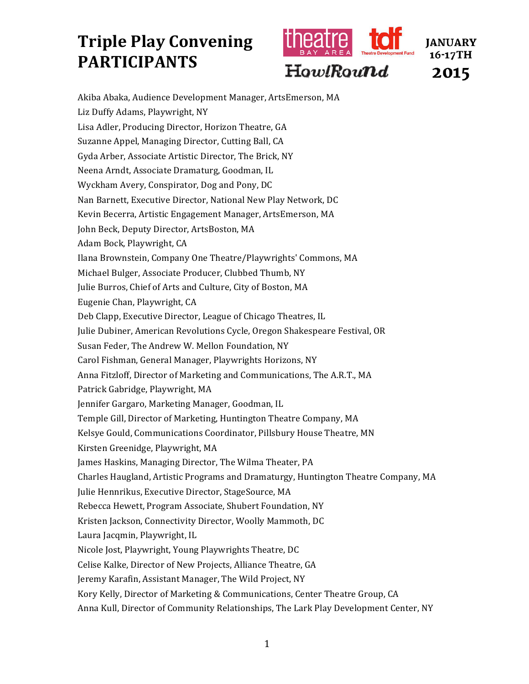## **Triple Play Convening PARTICIPANTS**



Akiba Abaka, Audience Development Manager, ArtsEmerson, MA Liz Duffy Adams, Playwright, NY Lisa Adler, Producing Director, Horizon Theatre, GA Suzanne Appel, Managing Director, Cutting Ball, CA Gyda Arber, Associate Artistic Director, The Brick, NY Neena Arndt, Associate Dramaturg, Goodman, IL Wyckham Avery, Conspirator, Dog and Pony, DC Nan Barnett, Executive Director, National New Play Network, DC Kevin Becerra, Artistic Engagement Manager, ArtsEmerson, MA John Beck, Deputy Director, ArtsBoston, MA Adam Bock, Playwright, CA Ilana Brownstein, Company One Theatre/Playwrights' Commons, MA Michael Bulger, Associate Producer, Clubbed Thumb, NY Julie Burros, Chief of Arts and Culture, City of Boston, MA Eugenie Chan, Playwright, CA Deb Clapp, Executive Director, League of Chicago Theatres, IL Julie Dubiner, American Revolutions Cycle, Oregon Shakespeare Festival, OR Susan Feder, The Andrew W. Mellon Foundation, NY Carol Fishman, General Manager, Playwrights Horizons, NY Anna Fitzloff, Director of Marketing and Communications, The A.R.T., MA Patrick Gabridge, Playwright, MA Jennifer Gargaro, Marketing Manager, Goodman, IL Temple Gill, Director of Marketing, Huntington Theatre Company, MA Kelsye Gould, Communications Coordinator, Pillsbury House Theatre, MN Kirsten Greenidge, Playwright, MA James Haskins, Managing Director, The Wilma Theater, PA Charles Haugland, Artistic Programs and Dramaturgy, Huntington Theatre Company, MA Julie Hennrikus, Executive Director, StageSource, MA Rebecca Hewett, Program Associate, Shubert Foundation, NY Kristen Jackson, Connectivity Director, Woolly Mammoth, DC Laura Jacqmin, Playwright, IL Nicole Jost, Playwright, Young Playwrights Theatre, DC Celise Kalke, Director of New Projects, Alliance Theatre, GA Jeremy Karafin, Assistant Manager, The Wild Project, NY Kory Kelly, Director of Marketing & Communications, Center Theatre Group, CA Anna Kull, Director of Community Relationships, The Lark Play Development Center, NY